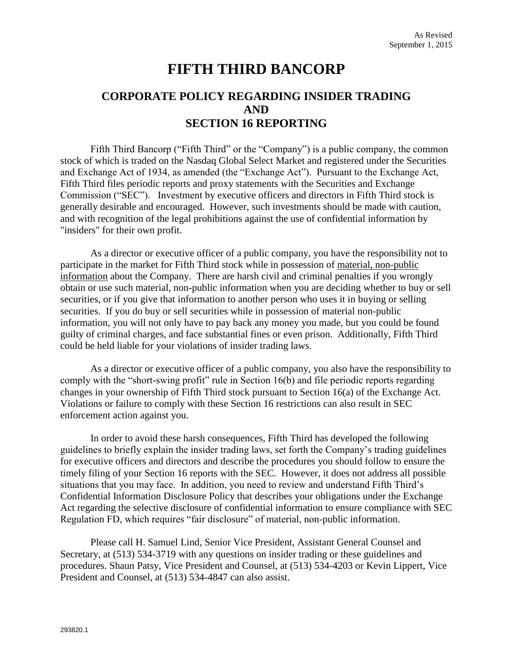# **FIFTH THIRD BANCORP**

## **CORPORATE POLICY REGARDING INSIDER TRADING AND SECTION 16 REPORTING**

Fifth Third Bancorp ("Fifth Third" or the "Company") is a public company, the common stock of which is traded on the Nasdaq Global Select Market and registered under the Securities and Exchange Act of 1934, as amended (the "Exchange Act"). Pursuant to the Exchange Act, Fifth Third files periodic reports and proxy statements with the Securities and Exchange Commission ("SEC"). Investment by executive officers and directors in Fifth Third stock is generally desirable and encouraged. However, such investments should be made with caution, and with recognition of the legal prohibitions against the use of confidential information by "insiders" for their own profit.

As a director or executive officer of a public company, you have the responsibility not to participate in the market for Fifth Third stock while in possession of material, non-public information about the Company. There are harsh civil and criminal penalties if you wrongly obtain or use such material, non-public information when you are deciding whether to buy or sell securities, or if you give that information to another person who uses it in buying or selling securities. If you do buy or sell securities while in possession of material non-public information, you will not only have to pay back any money you made, but you could be found guilty of criminal charges, and face substantial fines or even prison. Additionally, Fifth Third could be held liable for your violations of insider trading laws.

As a director or executive officer of a public company, you also have the responsibility to comply with the "short-swing profit" rule in Section 16(b) and file periodic reports regarding changes in your ownership of Fifth Third stock pursuant to Section 16(a) of the Exchange Act. Violations or failure to comply with these Section 16 restrictions can also result in SEC enforcement action against you.

In order to avoid these harsh consequences, Fifth Third has developed the following guidelines to briefly explain the insider trading laws, set forth the Company's trading guidelines for executive officers and directors and describe the procedures you should follow to ensure the timely filing of your Section 16 reports with the SEC. However, it does not address all possible situations that you may face. In addition, you need to review and understand Fifth Third's Confidential Information Disclosure Policy that describes your obligations under the Exchange Act regarding the selective disclosure of confidential information to ensure compliance with SEC Regulation FD, which requires "fair disclosure" of material, non-public information.

Please call H. Samuel Lind, Senior Vice President, Assistant General Counsel and Secretary, at (513) 534-3719 with any questions on insider trading or these guidelines and procedures. Shaun Patsy, Vice President and Counsel, at (513) 534-4203 or Kevin Lippert, Vice President and Counsel, at (513) 534-4847 can also assist.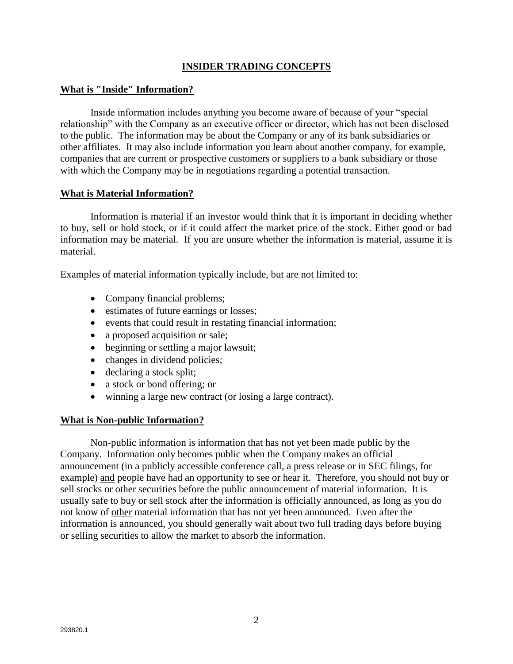## **INSIDER TRADING CONCEPTS**

## **What is "Inside" Information?**

Inside information includes anything you become aware of because of your "special relationship" with the Company as an executive officer or director, which has not been disclosed to the public. The information may be about the Company or any of its bank subsidiaries or other affiliates. It may also include information you learn about another company, for example, companies that are current or prospective customers or suppliers to a bank subsidiary or those with which the Company may be in negotiations regarding a potential transaction.

#### **What is Material Information?**

Information is material if an investor would think that it is important in deciding whether to buy, sell or hold stock, or if it could affect the market price of the stock. Either good or bad information may be material. If you are unsure whether the information is material, assume it is material.

Examples of material information typically include, but are not limited to:

- Company financial problems;
- estimates of future earnings or losses;
- events that could result in restating financial information;
- a proposed acquisition or sale;
- beginning or settling a major lawsuit;
- changes in dividend policies;
- declaring a stock split;
- a stock or bond offering; or
- winning a large new contract (or losing a large contract).

## **What is Non-public Information?**

Non-public information is information that has not yet been made public by the Company. Information only becomes public when the Company makes an official announcement (in a publicly accessible conference call, a press release or in SEC filings, for example) and people have had an opportunity to see or hear it. Therefore, you should not buy or sell stocks or other securities before the public announcement of material information. It is usually safe to buy or sell stock after the information is officially announced, as long as you do not know of other material information that has not yet been announced. Even after the information is announced, you should generally wait about two full trading days before buying or selling securities to allow the market to absorb the information.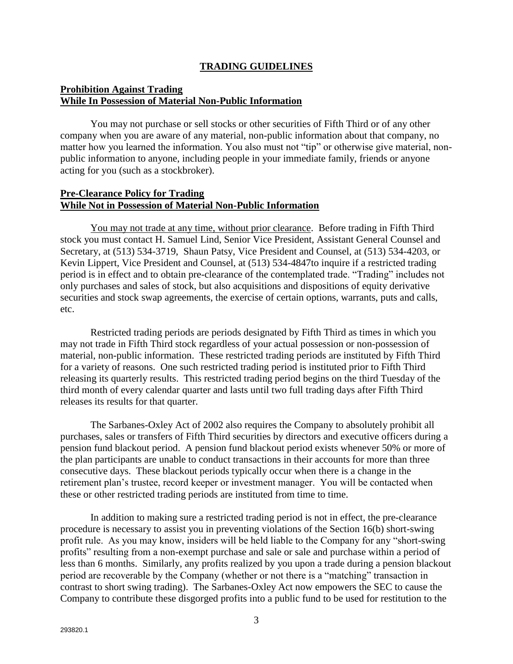## **TRADING GUIDELINES**

## **Prohibition Against Trading While In Possession of Material Non-Public Information**

You may not purchase or sell stocks or other securities of Fifth Third or of any other company when you are aware of any material, non-public information about that company, no matter how you learned the information. You also must not "tip" or otherwise give material, nonpublic information to anyone, including people in your immediate family, friends or anyone acting for you (such as a stockbroker).

## **Pre-Clearance Policy for Trading While Not in Possession of Material Non-Public Information**

You may not trade at any time, without prior clearance. Before trading in Fifth Third stock you must contact H. Samuel Lind, Senior Vice President, Assistant General Counsel and Secretary, at (513) 534-3719, Shaun Patsy, Vice President and Counsel, at (513) 534-4203, or Kevin Lippert, Vice President and Counsel, at (513) 534-4847to inquire if a restricted trading period is in effect and to obtain pre-clearance of the contemplated trade. "Trading" includes not only purchases and sales of stock, but also acquisitions and dispositions of equity derivative securities and stock swap agreements, the exercise of certain options, warrants, puts and calls, etc.

Restricted trading periods are periods designated by Fifth Third as times in which you may not trade in Fifth Third stock regardless of your actual possession or non-possession of material, non-public information. These restricted trading periods are instituted by Fifth Third for a variety of reasons. One such restricted trading period is instituted prior to Fifth Third releasing its quarterly results. This restricted trading period begins on the third Tuesday of the third month of every calendar quarter and lasts until two full trading days after Fifth Third releases its results for that quarter.

The Sarbanes-Oxley Act of 2002 also requires the Company to absolutely prohibit all purchases, sales or transfers of Fifth Third securities by directors and executive officers during a pension fund blackout period. A pension fund blackout period exists whenever 50% or more of the plan participants are unable to conduct transactions in their accounts for more than three consecutive days. These blackout periods typically occur when there is a change in the retirement plan's trustee, record keeper or investment manager. You will be contacted when these or other restricted trading periods are instituted from time to time.

In addition to making sure a restricted trading period is not in effect, the pre-clearance procedure is necessary to assist you in preventing violations of the Section 16(b) short-swing profit rule. As you may know, insiders will be held liable to the Company for any "short-swing profits" resulting from a non-exempt purchase and sale or sale and purchase within a period of less than 6 months. Similarly, any profits realized by you upon a trade during a pension blackout period are recoverable by the Company (whether or not there is a "matching" transaction in contrast to short swing trading). The Sarbanes-Oxley Act now empowers the SEC to cause the Company to contribute these disgorged profits into a public fund to be used for restitution to the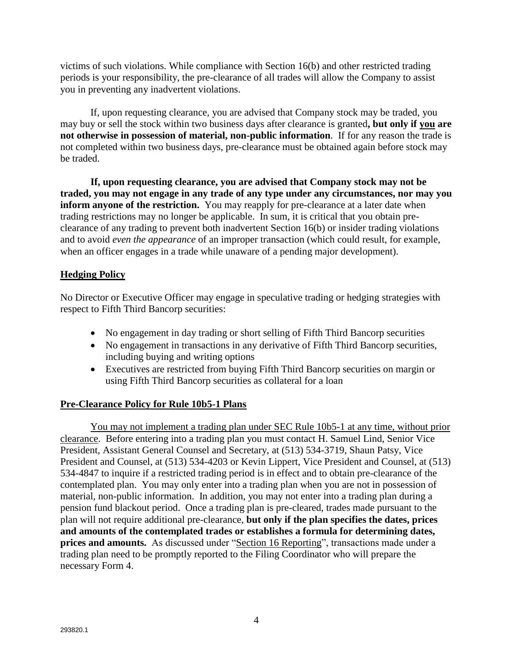victims of such violations. While compliance with Section 16(b) and other restricted trading periods is your responsibility, the pre-clearance of all trades will allow the Company to assist you in preventing any inadvertent violations.

If, upon requesting clearance, you are advised that Company stock may be traded, you may buy or sell the stock within two business days after clearance is granted**, but only if you are not otherwise in possession of material, non-public information**. If for any reason the trade is not completed within two business days, pre-clearance must be obtained again before stock may be traded.

**If, upon requesting clearance, you are advised that Company stock may not be traded, you may not engage in any trade of any type under any circumstances, nor may you inform anyone of the restriction.** You may reapply for pre-clearance at a later date when trading restrictions may no longer be applicable. In sum, it is critical that you obtain preclearance of any trading to prevent both inadvertent Section 16(b) or insider trading violations and to avoid *even the appearance* of an improper transaction (which could result, for example, when an officer engages in a trade while unaware of a pending major development).

## **Hedging Policy**

No Director or Executive Officer may engage in speculative trading or hedging strategies with respect to Fifth Third Bancorp securities:

- No engagement in day trading or short selling of Fifth Third Bancorp securities
- No engagement in transactions in any derivative of Fifth Third Bancorp securities, including buying and writing options
- Executives are restricted from buying Fifth Third Bancorp securities on margin or using Fifth Third Bancorp securities as collateral for a loan

## **Pre-Clearance Policy for Rule 10b5-1 Plans**

You may not implement a trading plan under SEC Rule 10b5-1 at any time, without prior clearance. Before entering into a trading plan you must contact H. Samuel Lind, Senior Vice President, Assistant General Counsel and Secretary, at (513) 534-3719, Shaun Patsy, Vice President and Counsel, at (513) 534-4203 or Kevin Lippert, Vice President and Counsel, at (513) 534-4847 to inquire if a restricted trading period is in effect and to obtain pre-clearance of the contemplated plan. You may only enter into a trading plan when you are not in possession of material, non-public information. In addition, you may not enter into a trading plan during a pension fund blackout period. Once a trading plan is pre-cleared, trades made pursuant to the plan will not require additional pre-clearance, **but only if the plan specifies the dates, prices and amounts of the contemplated trades or establishes a formula for determining dates, prices and amounts.** As discussed under "Section 16 Reporting", transactions made under a trading plan need to be promptly reported to the Filing Coordinator who will prepare the necessary Form 4.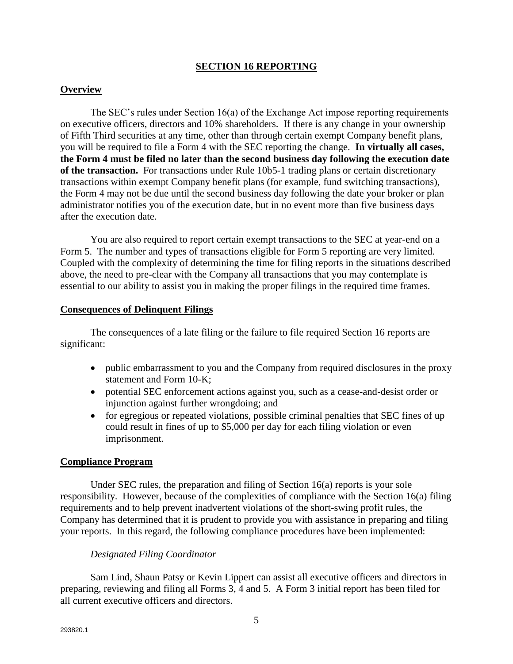## **SECTION 16 REPORTING**

## **Overview**

The SEC's rules under Section 16(a) of the Exchange Act impose reporting requirements on executive officers, directors and 10% shareholders. If there is any change in your ownership of Fifth Third securities at any time, other than through certain exempt Company benefit plans, you will be required to file a Form 4 with the SEC reporting the change. **In virtually all cases, the Form 4 must be filed no later than the second business day following the execution date of the transaction.** For transactions under Rule 10b5-1 trading plans or certain discretionary transactions within exempt Company benefit plans (for example, fund switching transactions), the Form 4 may not be due until the second business day following the date your broker or plan administrator notifies you of the execution date, but in no event more than five business days after the execution date.

You are also required to report certain exempt transactions to the SEC at year-end on a Form 5. The number and types of transactions eligible for Form 5 reporting are very limited. Coupled with the complexity of determining the time for filing reports in the situations described above, the need to pre-clear with the Company all transactions that you may contemplate is essential to our ability to assist you in making the proper filings in the required time frames.

#### **Consequences of Delinquent Filings**

The consequences of a late filing or the failure to file required Section 16 reports are significant:

- public embarrassment to you and the Company from required disclosures in the proxy statement and Form 10-K;
- potential SEC enforcement actions against you, such as a cease-and-desist order or injunction against further wrongdoing; and
- for egregious or repeated violations, possible criminal penalties that SEC fines of up could result in fines of up to \$5,000 per day for each filing violation or even imprisonment.

## **Compliance Program**

Under SEC rules, the preparation and filing of Section 16(a) reports is your sole responsibility. However, because of the complexities of compliance with the Section 16(a) filing requirements and to help prevent inadvertent violations of the short-swing profit rules, the Company has determined that it is prudent to provide you with assistance in preparing and filing your reports. In this regard, the following compliance procedures have been implemented:

## *Designated Filing Coordinator*

Sam Lind, Shaun Patsy or Kevin Lippert can assist all executive officers and directors in preparing, reviewing and filing all Forms 3, 4 and 5. A Form 3 initial report has been filed for all current executive officers and directors.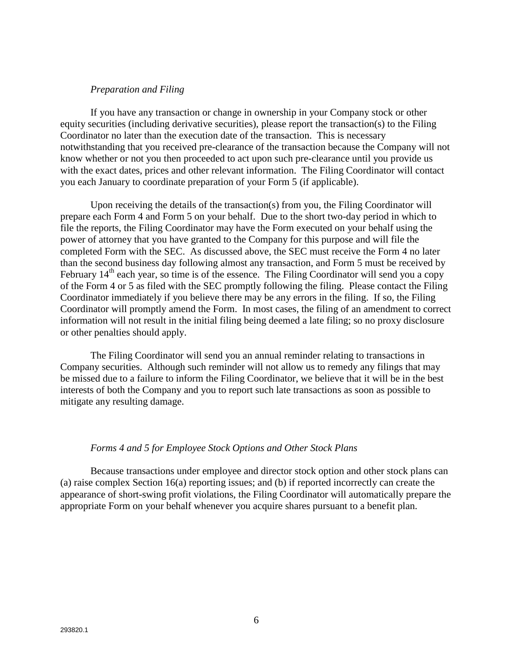#### *Preparation and Filing*

If you have any transaction or change in ownership in your Company stock or other equity securities (including derivative securities), please report the transaction(s) to the Filing Coordinator no later than the execution date of the transaction. This is necessary notwithstanding that you received pre-clearance of the transaction because the Company will not know whether or not you then proceeded to act upon such pre-clearance until you provide us with the exact dates, prices and other relevant information. The Filing Coordinator will contact you each January to coordinate preparation of your Form 5 (if applicable).

Upon receiving the details of the transaction(s) from you, the Filing Coordinator will prepare each Form 4 and Form 5 on your behalf. Due to the short two-day period in which to file the reports, the Filing Coordinator may have the Form executed on your behalf using the power of attorney that you have granted to the Company for this purpose and will file the completed Form with the SEC. As discussed above, the SEC must receive the Form 4 no later than the second business day following almost any transaction, and Form 5 must be received by February 14<sup>th</sup> each year, so time is of the essence. The Filing Coordinator will send you a copy of the Form 4 or 5 as filed with the SEC promptly following the filing. Please contact the Filing Coordinator immediately if you believe there may be any errors in the filing. If so, the Filing Coordinator will promptly amend the Form. In most cases, the filing of an amendment to correct information will not result in the initial filing being deemed a late filing; so no proxy disclosure or other penalties should apply.

The Filing Coordinator will send you an annual reminder relating to transactions in Company securities. Although such reminder will not allow us to remedy any filings that may be missed due to a failure to inform the Filing Coordinator, we believe that it will be in the best interests of both the Company and you to report such late transactions as soon as possible to mitigate any resulting damage.

#### *Forms 4 and 5 for Employee Stock Options and Other Stock Plans*

Because transactions under employee and director stock option and other stock plans can (a) raise complex Section 16(a) reporting issues; and (b) if reported incorrectly can create the appearance of short-swing profit violations, the Filing Coordinator will automatically prepare the appropriate Form on your behalf whenever you acquire shares pursuant to a benefit plan.